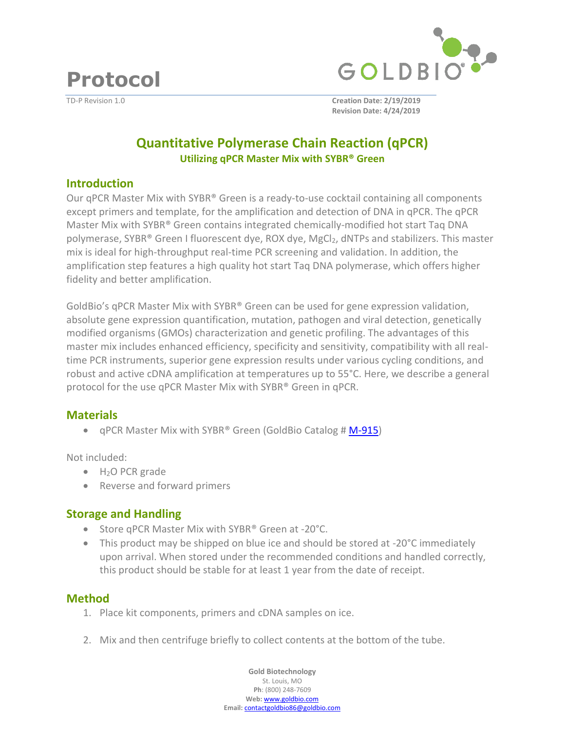**Protocol**



TD-P Revision 1.0 **Creation Date: 2/19/2019 Revision Date: 4/24/2019**

# **Quantitative Polymerase Chain Reaction (qPCR) Utilizing qPCR Master Mix with SYBR® Green**

#### **Introduction**

Our qPCR Master Mix with SYBR® Green is a ready-to-use cocktail containing all components except primers and template, for the amplification and detection of DNA in qPCR. The qPCR Master Mix with SYBR® Green contains integrated chemically-modified hot start Taq DNA polymerase, SYBR® Green I fluorescent dye, ROX dye, MgCl<sub>2</sub>, dNTPs and stabilizers. This master mix is ideal for high-throughput real-time PCR screening and validation. In addition, the amplification step features a high quality hot start Taq DNA polymerase, which offers higher fidelity and better amplification.

GoldBio's qPCR Master Mix with SYBR® Green can be used for gene expression validation, absolute gene expression quantification, mutation, pathogen and viral detection, genetically modified organisms (GMOs) characterization and genetic profiling. The advantages of this master mix includes enhanced efficiency, specificity and sensitivity, compatibility with all realtime PCR instruments, superior gene expression results under various cycling conditions, and robust and active cDNA amplification at temperatures up to 55°C. Here, we describe a general protocol for the use qPCR Master Mix with SYBR® Green in qPCR.

## **Materials**

• qPCR Master Mix with SYBR® Green (GoldBio Catalog # [M-915\)](https://www.goldbio.com/product/14412/qPCR-Master-Mix-with-SYBR-Green)

Not included:

- $\bullet$  H<sub>2</sub>O PCR grade
- Reverse and forward primers

## **Storage and Handling**

- Store qPCR Master Mix with SYBR<sup>®</sup> Green at -20°C.
- This product may be shipped on blue ice and should be stored at -20°C immediately upon arrival. When stored under the recommended conditions and handled correctly, this product should be stable for at least 1 year from the date of receipt.

#### **Method**

- 1. Place kit components, primers and cDNA samples on ice.
- 2. Mix and then centrifuge briefly to collect contents at the bottom of the tube.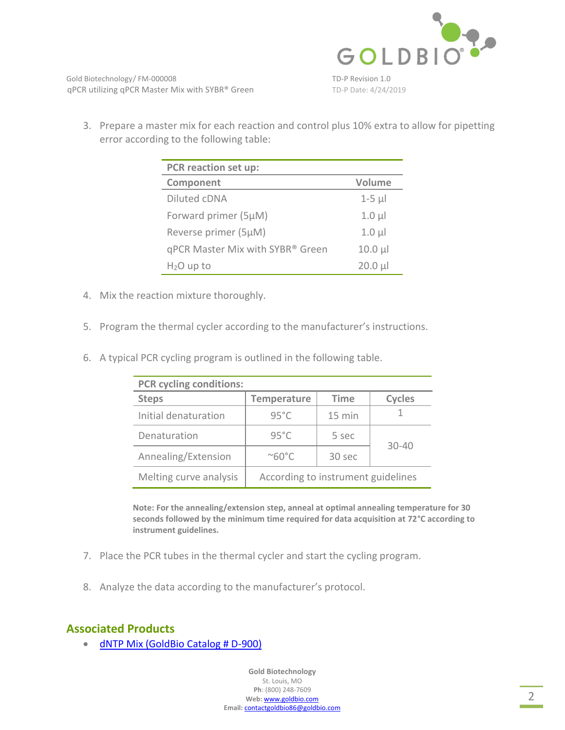

3. Prepare a master mix for each reaction and control plus 10% extra to allow for pipetting error according to the following table:

| PCR reaction set up:             |             |
|----------------------------------|-------------|
| Component                        | Volume      |
| Diluted cDNA                     | $1-5$ $\mu$ |
| Forward primer (5µM)             | $1.0 \mu$   |
| Reverse primer (5µM)             | $1.0 \mu$   |
| qPCR Master Mix with SYBR® Green | $10.0 \mu$  |
| $H2O$ up to                      | $20.0 \mu$  |

- 4. Mix the reaction mixture thoroughly.
- 5. Program the thermal cycler according to the manufacturer's instructions.
- 6. A typical PCR cycling program is outlined in the following table.

| <b>PCR cycling conditions:</b> |                                    |             |               |
|--------------------------------|------------------------------------|-------------|---------------|
| <b>Steps</b>                   | <b>Temperature</b>                 | <b>Time</b> | <b>Cycles</b> |
| Initial denaturation           | $95^{\circ}$ C                     | 15 min      |               |
| Denaturation                   | $95^{\circ}$ C                     | 5 sec       | $30 - 40$     |
| Annealing/Extension            | $^{\circ}$ 60 $^{\circ}$ C         | 30 sec      |               |
| Melting curve analysis         | According to instrument guidelines |             |               |

**Note: For the annealing/extension step, anneal at optimal annealing temperature for 30 seconds followed by the minimum time required for data acquisition at 72°C according to instrument guidelines.** 

- 7. Place the PCR tubes in the thermal cycler and start the cycling program.
- 8. Analyze the data according to the manufacturer's protocol.

### **Associated Products**

[dNTP Mix \(GoldBio Catalog # D-900\)](https://www.goldbio.com/product/12753/dntp-mix)